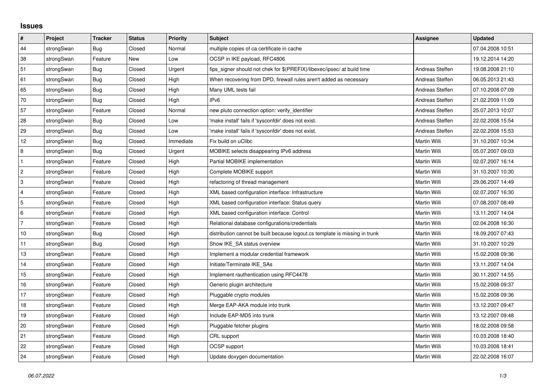## **Issues**

| $\vert$ #      | Project    | <b>Tracker</b> | <b>Status</b> | <b>Priority</b> | <b>Subject</b>                                                              | <b>Assignee</b>     | <b>Updated</b>   |
|----------------|------------|----------------|---------------|-----------------|-----------------------------------------------------------------------------|---------------------|------------------|
| 44             | strongSwan | Bug            | Closed        | Normal          | multiple copies of ca certificate in cache                                  |                     | 07.04.2008 10:51 |
| 38             | strongSwan | Feature        | New           | Low             | OCSP in IKE payload, RFC4806                                                |                     | 19.12.2014 14:20 |
| 51             | strongSwan | Bug            | Closed        | Urgent          | fips_signer should not chek for \$(PREFIX)/libexec/ipsec/ at build time     | Andreas Steffen     | 19.08.2008 21:10 |
| 61             | strongSwan | Bug            | Closed        | High            | When recovering from DPD, firewall rules aren't added as necessary          | Andreas Steffen     | 06.05.2013 21:43 |
| 65             | strongSwan | Bug            | Closed        | High            | Many UML tests fail                                                         | Andreas Steffen     | 07.10.2008 07:09 |
| 70             | strongSwan | Bug            | Closed        | High            | IP <sub>v6</sub>                                                            | Andreas Steffen     | 21.02.2009 11:09 |
| 57             | strongSwan | Feature        | Closed        | Normal          | new pluto connection option: verify identifier                              | Andreas Steffen     | 25.07.2013 10:07 |
| 28             | strongSwan | Bug            | Closed        | Low             | 'make install' fails if 'sysconfdir' does not exist.                        | Andreas Steffen     | 22.02.2008 15:54 |
| 29             | strongSwan | Bug            | Closed        | Low             | 'make install' fails if 'sysconfdir' does not exist.                        | Andreas Steffen     | 22.02.2008 15:53 |
| 12             | strongSwan | Bug            | Closed        | Immediate       | Fix build on uClibc                                                         | Martin Willi        | 31.10.2007 10:34 |
| $\,8\,$        | strongSwan | Bug            | Closed        | Urgent          | MOBIKE selects disappearing IPv6 address                                    | Martin Willi        | 05.07.2007 09:03 |
| $\mathbf{1}$   | strongSwan | Feature        | Closed        | High            | Partial MOBIKE implementation                                               | Martin Willi        | 02.07.2007 16:14 |
| $\overline{2}$ | strongSwan | Feature        | Closed        | High            | Complete MOBIKE support                                                     | Martin Willi        | 31.10.2007 10:30 |
| 3              | strongSwan | Feature        | Closed        | High            | refactoring of thread management                                            | Martin Willi        | 29.06.2007 14:49 |
| 4              | strongSwan | Feature        | Closed        | High            | XML based configuration interface: Infrastructure                           | Martin Willi        | 02.07.2007 16:30 |
| 5              | strongSwan | Feature        | Closed        | High            | XML based configuration interface: Status query                             | Martin Willi        | 07.08.2007 08:49 |
| 6              | strongSwan | Feature        | Closed        | High            | XML based configuration interface: Control                                  | Martin Willi        | 13.11.2007 14:04 |
| $\overline{7}$ | strongSwan | Feature        | Closed        | High            | Relational database configurations/credentials                              | Martin Willi        | 02.04.2008 16:30 |
| 10             | strongSwan | <b>Bug</b>     | Closed        | High            | distribution cannot be built because logout.cs template is missing in trunk | Martin Willi        | 18.09.2007 07:43 |
| 11             | strongSwan | Bug            | Closed        | High            | Show IKE SA status overview                                                 | Martin Willi        | 31.10.2007 10:29 |
| $13$           | strongSwan | Feature        | Closed        | High            | Implement a modular credential framework                                    | Martin Willi        | 15.02.2008 09:36 |
| 14             | strongSwan | Feature        | Closed        | High            | Initiate/Terminate IKE SAs                                                  | Martin Willi        | 13.11.2007 14:04 |
| 15             | strongSwan | Feature        | Closed        | High            | Implement rauthentication using RFC4478                                     | Martin Willi        | 30.11.2007 14:55 |
| 16             | strongSwan | Feature        | Closed        | High            | Generic plugin architecture                                                 | Martin Willi        | 15.02.2008 09:37 |
| 17             | strongSwan | Feature        | Closed        | High            | Pluggable crypto modules                                                    | Martin Willi        | 15.02.2008 09:36 |
| 18             | strongSwan | Feature        | Closed        | High            | Merge EAP-AKA module into trunk                                             | Martin Willi        | 13.12.2007 09:47 |
| 19             | strongSwan | Feature        | Closed        | High            | Include EAP-MD5 into trunk                                                  | Martin Willi        | 13.12.2007 09:48 |
| 20             | strongSwan | Feature        | Closed        | High            | Pluggable fetcher plugins                                                   | Martin Willi        | 18.02.2008 09:58 |
| 21             | strongSwan | Feature        | Closed        | High            | CRL support                                                                 | Martin Willi        | 10.03.2008 18:40 |
| 22             | strongSwan | Feature        | Closed        | High            | OCSP support                                                                | Martin Willi        | 10.03.2008 18:41 |
| 24             | strongSwan | Feature        | Closed        | High            | Update doxygen documentation                                                | <b>Martin Willi</b> | 22.02.2008 16:07 |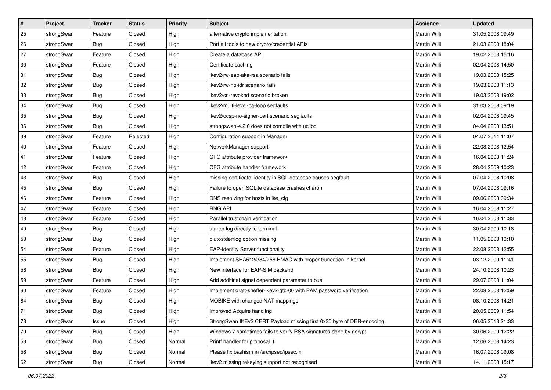| $\vert$ # | Project    | <b>Tracker</b> | <b>Status</b> | Priority | <b>Subject</b>                                                         | <b>Assignee</b> | <b>Updated</b>   |
|-----------|------------|----------------|---------------|----------|------------------------------------------------------------------------|-----------------|------------------|
| 25        | strongSwan | Feature        | Closed        | High     | alternative crypto implementation                                      | Martin Willi    | 31.05.2008 09:49 |
| 26        | strongSwan | Bug            | Closed        | High     | Port all tools to new crypto/credential APIs                           | Martin Willi    | 21.03.2008 18:04 |
| 27        | strongSwan | Feature        | Closed        | High     | Create a database API                                                  | Martin Willi    | 19.02.2008 15:16 |
| 30        | strongSwan | Feature        | Closed        | High     | Certificate caching                                                    | Martin Willi    | 02.04.2008 14:50 |
| 31        | strongSwan | Bug            | Closed        | High     | ikev2/rw-eap-aka-rsa scenario fails                                    | Martin Willi    | 19.03.2008 15:25 |
| 32        | strongSwan | <b>Bug</b>     | Closed        | High     | ikev2/rw-no-idr scenario fails                                         | Martin Willi    | 19.03.2008 11:13 |
| 33        | strongSwan | Bug            | Closed        | High     | ikev2/crl-revoked scenario broken                                      | Martin Willi    | 19.03.2008 19:02 |
| 34        | strongSwan | Bug            | Closed        | High     | ikev2/multi-level-ca-loop segfaults                                    | Martin Willi    | 31.03.2008 09:19 |
| 35        | strongSwan | <b>Bug</b>     | Closed        | High     | ikev2/ocsp-no-signer-cert scenario segfaults                           | Martin Willi    | 02.04.2008 09:45 |
| 36        | strongSwan | Bug            | Closed        | High     | strongswan-4.2.0 does not compile with uclibc                          | Martin Willi    | 04.04.2008 13:51 |
| 39        | strongSwan | Feature        | Rejected      | High     | Configuration support in Manager                                       | Martin Willi    | 04.07.2014 11:07 |
| 40        | strongSwan | Feature        | Closed        | High     | NetworkManager support                                                 | Martin Willi    | 22.08.2008 12:54 |
| 41        | strongSwan | Feature        | Closed        | High     | CFG attribute provider framework                                       | Martin Willi    | 16.04.2008 11:24 |
| 42        | strongSwan | Feature        | Closed        | High     | CFG attribute handler framework                                        | Martin Willi    | 28.04.2009 10:23 |
| 43        | strongSwan | Bug            | Closed        | High     | missing certificate_identity in SQL database causes segfault           | Martin Willi    | 07.04.2008 10:08 |
| 45        | strongSwan | <b>Bug</b>     | Closed        | High     | Failure to open SQLite database crashes charon                         | Martin Willi    | 07.04.2008 09:16 |
| 46        | strongSwan | Feature        | Closed        | High     | DNS resolving for hosts in ike_cfg                                     | Martin Willi    | 09.06.2008 09:34 |
| 47        | strongSwan | Feature        | Closed        | High     | <b>RNG API</b>                                                         | Martin Willi    | 16.04.2008 11:27 |
| 48        | strongSwan | Feature        | Closed        | High     | Parallel trustchain verification                                       | Martin Willi    | 16.04.2008 11:33 |
| 49        | strongSwan | Bug            | Closed        | High     | starter log directly to terminal                                       | Martin Willi    | 30.04.2009 10:18 |
| 50        | strongSwan | Bug            | Closed        | High     | plutostderrlog option missing                                          | Martin Willi    | 11.05.2008 10:10 |
| 54        | strongSwan | Feature        | Closed        | High     | <b>EAP-Identity Server functionality</b>                               | Martin Willi    | 22.08.2008 12:55 |
| 55        | strongSwan | Bug            | Closed        | High     | Implement SHA512/384/256 HMAC with proper truncation in kernel         | Martin Willi    | 03.12.2009 11:41 |
| 56        | strongSwan | <b>Bug</b>     | Closed        | High     | New interface for EAP-SIM backend                                      | Martin Willi    | 24.10.2008 10:23 |
| 59        | strongSwan | Feature        | Closed        | High     | Add additinal signal dependent parameter to bus                        | Martin Willi    | 29.07.2008 11:04 |
| 60        | strongSwan | Feature        | Closed        | High     | Implement draft-sheffer-ikev2-gtc-00 with PAM password verification    | Martin Willi    | 22.08.2008 12:59 |
| 64        | strongSwan | <b>Bug</b>     | Closed        | High     | MOBIKE with changed NAT mappings                                       | Martin Willi    | 08.10.2008 14:21 |
| 71        | strongSwan | Bug            | Closed        | High     | Improved Acquire handling                                              | Martin Willi    | 20.05.2009 11:54 |
| 73        | strongSwan | Issue          | Closed        | High     | StrongSwan IKEv2 CERT Payload missing first 0x30 byte of DER-encoding. | Martin Willi    | 06.05.2013 21:33 |
| 79        | strongSwan | Bug            | Closed        | High     | Windows 7 sometimes fails to verify RSA signatures done by gcrypt      | Martin Willi    | 30.06.2009 12:22 |
| 53        | strongSwan | Bug            | Closed        | Normal   | Printf handler for proposal t                                          | Martin Willi    | 12.06.2008 14:23 |
| 58        | strongSwan | Bug            | Closed        | Normal   | Please fix bashism in /src/ipsec/ipsec.in                              | Martin Willi    | 16.07.2008 09:08 |
| 62        | strongSwan | <b>Bug</b>     | Closed        | Normal   | ikev2 missing rekeying support not recognised                          | Martin Willi    | 14.11.2008 15:17 |